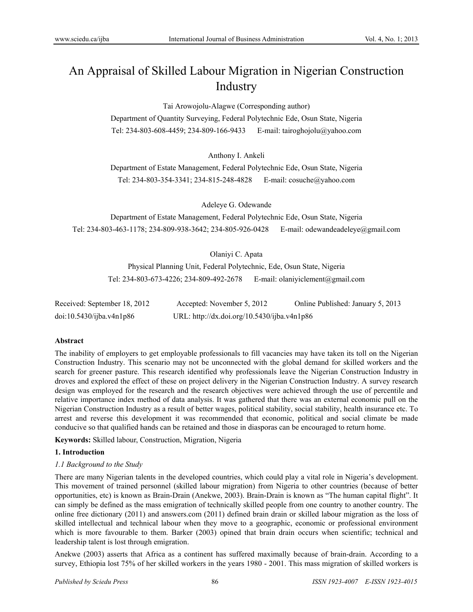# An Appraisal of Skilled Labour Migration in Nigerian Construction Industry

Tai Arowojolu-Alagwe (Corresponding author)

Department of Quantity Surveying, Federal Polytechnic Ede, Osun State, Nigeria Tel: 234-803-608-4459; 234-809-166-9433 E-mail: tairoghojolu@yahoo.com

Anthony I. Ankeli

Department of Estate Management, Federal Polytechnic Ede, Osun State, Nigeria Tel: 234-803-354-3341; 234-815-248-4828 E-mail: cosuche@yahoo.com

Adeleye G. Odewande

Department of Estate Management, Federal Polytechnic Ede, Osun State, Nigeria Tel: 234-803-463-1178; 234-809-938-3642; 234-805-926-0428 E-mail: odewandeadeleye@gmail.com

Olaniyi C. Apata

Physical Planning Unit, Federal Polytechnic, Ede, Osun State, Nigeria Tel: 234-803-673-4226; 234-809-492-2678 E-mail: olaniyiclement@gmail.com

| Received: September 18, 2012 | Accepted: November 5, 2012                  | Online Published: January 5, 2013 |
|------------------------------|---------------------------------------------|-----------------------------------|
| doi:10.5430/ijba.v4n1p86     | URL: http://dx.doi.org/10.5430/ijba.v4n1p86 |                                   |

# **Abstract**

The inability of employers to get employable professionals to fill vacancies may have taken its toll on the Nigerian Construction Industry. This scenario may not be unconnected with the global demand for skilled workers and the search for greener pasture. This research identified why professionals leave the Nigerian Construction Industry in droves and explored the effect of these on project delivery in the Nigerian Construction Industry. A survey research design was employed for the research and the research objectives were achieved through the use of percentile and relative importance index method of data analysis. It was gathered that there was an external economic pull on the Nigerian Construction Industry as a result of better wages, political stability, social stability, health insurance etc. To arrest and reverse this development it was recommended that economic, political and social climate be made conducive so that qualified hands can be retained and those in diasporas can be encouraged to return home.

**Keywords:** Skilled labour, Construction, Migration, Nigeria

# **1. Introduction**

# *1.1 Background to the Study*

There are many Nigerian talents in the developed countries, which could play a vital role in Nigeria's development. This movement of trained personnel (skilled labour migration) from Nigeria to other countries (because of better opportunities, etc) is known as Brain-Drain (Anekwe, 2003). Brain-Drain is known as "The human capital flight". It can simply be defined as the mass emigration of technically skilled people from one country to another country. The online free dictionary (2011) and answers.com (2011) defined brain drain or skilled labour migration as the loss of skilled intellectual and technical labour when they move to a geographic, economic or professional environment which is more favourable to them. Barker (2003) opined that brain drain occurs when scientific; technical and leadership talent is lost through emigration.

Anekwe (2003) asserts that Africa as a continent has suffered maximally because of brain-drain. According to a survey, Ethiopia lost 75% of her skilled workers in the years 1980 - 2001. This mass migration of skilled workers is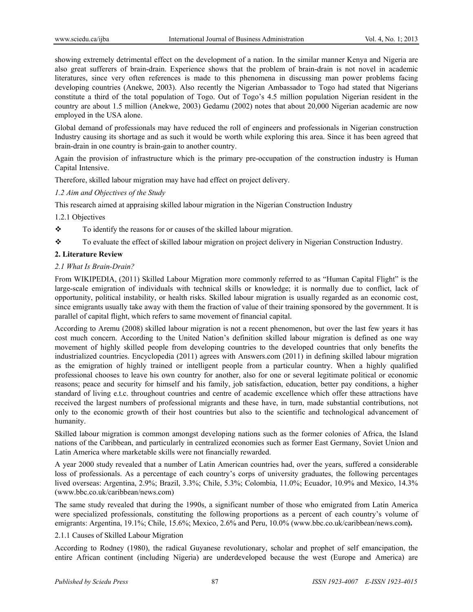showing extremely detrimental effect on the development of a nation. In the similar manner Kenya and Nigeria are also great sufferers of brain-drain. Experience shows that the problem of brain-drain is not novel in academic literatures, since very often references is made to this phenomena in discussing man power problems facing developing countries (Anekwe, 2003). Also recently the Nigerian Ambassador to Togo had stated that Nigerians constitute a third of the total population of Togo. Out of Togo's 4.5 million population Nigerian resident in the country are about 1.5 million (Anekwe, 2003) Gedamu (2002) notes that about 20,000 Nigerian academic are now employed in the USA alone.

Global demand of professionals may have reduced the roll of engineers and professionals in Nigerian construction Industry causing its shortage and as such it would be worth while exploring this area. Since it has been agreed that brain-drain in one country is brain-gain to another country.

Again the provision of infrastructure which is the primary pre-occupation of the construction industry is Human Capital Intensive.

Therefore, skilled labour migration may have had effect on project delivery.

## *1.2 Aim and Objectives of the Study*

This research aimed at appraising skilled labour migration in the Nigerian Construction Industry

1.2.1 Objectives

- \* To identify the reasons for or causes of the skilled labour migration.
- \* To evaluate the effect of skilled labour migration on project delivery in Nigerian Construction Industry.

## **2. Literature Review**

## *2.1 What Is Brain-Drain?*

From WIKIPEDIA, (2011) Skilled Labour Migration more commonly referred to as "Human Capital Flight" is the large-scale emigration of individuals with technical skills or knowledge; it is normally due to conflict, lack of opportunity, political instability, or health risks. Skilled labour migration is usually regarded as an economic cost, since emigrants usually take away with them the fraction of value of their training sponsored by the government. It is parallel of capital flight, which refers to same movement of financial capital.

According to Aremu (2008) skilled labour migration is not a recent phenomenon, but over the last few years it has cost much concern. According to the United Nation's definition skilled labour migration is defined as one way movement of highly skilled people from developing countries to the developed countries that only benefits the industrialized countries. Encyclopedia (2011) agrees with Answers.com (2011) in defining skilled labour migration as the emigration of highly trained or intelligent people from a particular country. When a highly qualified professional chooses to leave his own country for another, also for one or several legitimate political or economic reasons; peace and security for himself and his family, job satisfaction, education, better pay conditions, a higher standard of living e.t.c. throughout countries and centre of academic excellence which offer these attractions have received the largest numbers of professional migrants and these have, in turn, made substantial contributions, not only to the economic growth of their host countries but also to the scientific and technological advancement of humanity.

Skilled labour migration is common amongst developing nations such as the former colonies of Africa, the Island nations of the Caribbean, and particularly in centralized economies such as former East Germany, Soviet Union and Latin America where marketable skills were not financially rewarded.

A year 2000 study revealed that a number of Latin American countries had, over the years, suffered a considerable loss of professionals. As a percentage of each country's corps of university graduates, the following percentages lived overseas: Argentina, 2.9%; Brazil, 3.3%; Chile, 5.3%; Colombia, 11.0%; Ecuador, 10.9% and Mexico, 14.3% (www.bbc.co.uk/caribbean/news.com)

The same study revealed that during the 1990s, a significant number of those who emigrated from Latin America were specialized professionals, constituting the following proportions as a percent of each country's volume of emigrants: Argentina, 19.1%; Chile, 15.6%; Mexico, 2.6% and Peru, 10.0% (www.bbc.co.uk/caribbean/news.com**).** 

## 2.1.1 Causes of Skilled Labour Migration

According to Rodney (1980), the radical Guyanese revolutionary, scholar and prophet of self emancipation, the entire African continent (including Nigeria) are underdeveloped because the west (Europe and America) are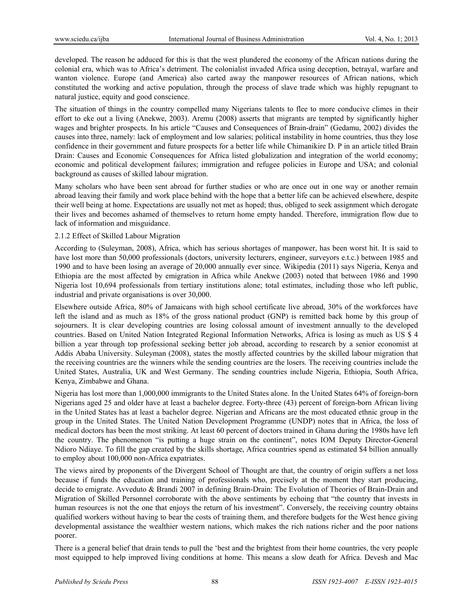developed. The reason he adduced for this is that the west plundered the economy of the African nations during the colonial era, which was to Africa's detriment. The colonialist invaded Africa using deception, betrayal, warfare and wanton violence. Europe (and America) also carted away the manpower resources of African nations, which constituted the working and active population, through the process of slave trade which was highly repugnant to natural justice, equity and good conscience.

The situation of things in the country compelled many Nigerians talents to flee to more conducive climes in their effort to eke out a living (Anekwe, 2003). Aremu (2008) asserts that migrants are tempted by significantly higher wages and brighter prospects. In his article "Causes and Consequences of Brain-drain" (Gedamu, 2002) divides the causes into three, namely: lack of employment and low salaries; political instability in home countries, thus they lose confidence in their government and future prospects for a better life while Chimanikire D. P in an article titled Brain Drain: Causes and Economic Consequences for Africa listed globalization and integration of the world economy; economic and political development failures; immigration and refugee policies in Europe and USA; and colonial background as causes of skilled labour migration.

Many scholars who have been sent abroad for further studies or who are once out in one way or another remain abroad leaving their family and work place behind with the hope that a better life can be achieved elsewhere, despite their well being at home. Expectations are usually not met as hoped; thus, obliged to seek assignment which derogate their lives and becomes ashamed of themselves to return home empty handed. Therefore, immigration flow due to lack of information and misguidance.

# 2.1.2 Effect of Skilled Labour Migration

According to (Suleyman, 2008), Africa, which has serious shortages of manpower, has been worst hit. It is said to have lost more than 50,000 professionals (doctors, university lecturers, engineer, surveyors e.t.c.) between 1985 and 1990 and to have been losing an average of 20,000 annually ever since. Wikipedia (2011) says Nigeria, Kenya and Ethiopia are the most affected by emigration in Africa while Anekwe (2003) noted that between 1986 and 1990 Nigeria lost 10,694 professionals from tertiary institutions alone; total estimates, including those who left public, industrial and private organisations is over 30,000.

Elsewhere outside Africa, 80% of Jamaicans with high school certificate live abroad, 30% of the workforces have left the island and as much as 18% of the gross national product (GNP) is remitted back home by this group of sojourners. It is clear developing countries are losing colossal amount of investment annually to the developed countries. Based on United Nation Integrated Regional Information Networks, Africa is losing as much as US \$ 4 billion a year through top professional seeking better job abroad, according to research by a senior economist at Addis Ababa University. Suleyman (2008), states the mostly affected countries by the skilled labour migration that the receiving countries are the winners while the sending countries are the losers. The receiving countries include the United States, Australia, UK and West Germany. The sending countries include Nigeria, Ethiopia, South Africa, Kenya, Zimbabwe and Ghana.

Nigeria has lost more than 1,000,000 immigrants to the United States alone. In the United States 64% of foreign-born Nigerians aged 25 and older have at least a bachelor degree. Forty-three (43) percent of foreign-born African living in the United States has at least a bachelor degree. Nigerian and Africans are the most educated ethnic group in the group in the United States. The United Nation Development Programme (UNDP) notes that in Africa, the loss of medical doctors has been the most striking. At least 60 percent of doctors trained in Ghana during the 1980s have left the country. The phenomenon "is putting a huge strain on the continent", notes IOM Deputy Director-General Ndioro Ndiaye. To fill the gap created by the skills shortage, Africa countries spend as estimated \$4 billion annually to employ about 100,000 non-Africa expatriates.

The views aired by proponents of the Divergent School of Thought are that, the country of origin suffers a net loss because if funds the education and training of professionals who, precisely at the moment they start producing, decide to emigrate. Avveduto & Brandi 2007 in defining Brain-Drain: The Evolution of Theories of Brain-Drain and Migration of Skilled Personnel corroborate with the above sentiments by echoing that "the country that invests in human resources is not the one that enjoys the return of his investment". Conversely, the receiving country obtains qualified workers without having to bear the costs of training them, and therefore budgets for the West hence giving developmental assistance the wealthier western nations, which makes the rich nations richer and the poor nations poorer.

There is a general belief that drain tends to pull the 'best and the brightest from their home countries, the very people most equipped to help improved living conditions at home. This means a slow death for Africa. Devesh and Mac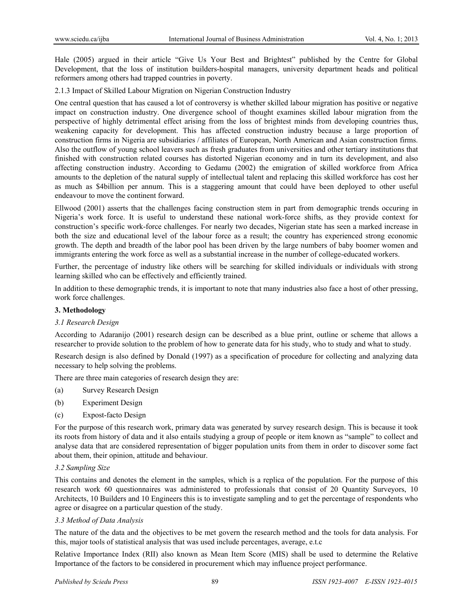Hale (2005) argued in their article "Give Us Your Best and Brightest" published by the Centre for Global Development, that the loss of institution builders-hospital managers, university department heads and political reformers among others had trapped countries in poverty.

2.1.3 Impact of Skilled Labour Migration on Nigerian Construction Industry

One central question that has caused a lot of controversy is whether skilled labour migration has positive or negative impact on construction industry. One divergence school of thought examines skilled labour migration from the perspective of highly detrimental effect arising from the loss of brightest minds from developing countries thus, weakening capacity for development. This has affected construction industry because a large proportion of construction firms in Nigeria are subsidiaries / affiliates of European, North American and Asian construction firms. Also the outflow of young school leavers such as fresh graduates from universities and other tertiary institutions that finished with construction related courses has distorted Nigerian economy and in turn its development, and also affecting construction industry. According to Gedamu (2002) the emigration of skilled workforce from Africa amounts to the depletion of the natural supply of intellectual talent and replacing this skilled workforce has cost her as much as \$4billion per annum. This is a staggering amount that could have been deployed to other useful endeavour to move the continent forward.

Ellwood (2001) asserts that the challenges facing construction stem in part from demographic trends occuring in Nigeria's work force. It is useful to understand these national work-force shifts, as they provide context for construction's specific work-force challenges. For nearly two decades, Nigerian state has seen a marked increase in both the size and educational level of the labour force as a result; the country has experienced strong economic growth. The depth and breadth of the labor pool has been driven by the large numbers of baby boomer women and immigrants entering the work force as well as a substantial increase in the number of college-educated workers.

Further, the percentage of industry like others will be searching for skilled individuals or individuals with strong learning skilled who can be effectively and efficiently trained.

In addition to these demographic trends, it is important to note that many industries also face a host of other pressing, work force challenges.

## **3. Methodology**

#### *3.1 Research Design*

According to Adaranijo (2001) research design can be described as a blue print, outline or scheme that allows a researcher to provide solution to the problem of how to generate data for his study, who to study and what to study.

Research design is also defined by Donald (1997) as a specification of procedure for collecting and analyzing data necessary to help solving the problems.

There are three main categories of research design they are:

- (a) Survey Research Design
- (b) Experiment Design
- (c) Expost-facto Design

For the purpose of this research work, primary data was generated by survey research design. This is because it took its roots from history of data and it also entails studying a group of people or item known as "sample" to collect and analyse data that are considered representation of bigger population units from them in order to discover some fact about them, their opinion, attitude and behaviour.

## *3.2 Sampling Size*

This contains and denotes the element in the samples, which is a replica of the population. For the purpose of this research work 60 questionnaires was administered to professionals that consist of 20 Quantity Surveyors, 10 Architects, 10 Builders and 10 Engineers this is to investigate sampling and to get the percentage of respondents who agree or disagree on a particular question of the study.

## *3.3 Method of Data Analysis*

The nature of the data and the objectives to be met govern the research method and the tools for data analysis. For this, major tools of statistical analysis that was used include percentages, average, e.t.c

Relative Importance Index (RII) also known as Mean Item Score (MIS) shall be used to determine the Relative Importance of the factors to be considered in procurement which may influence project performance.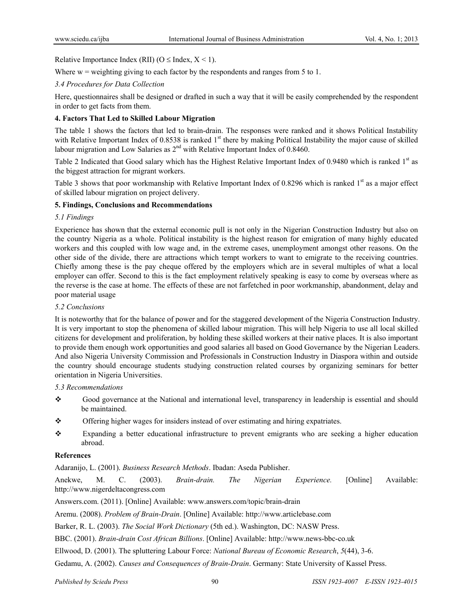Relative Importance Index (RII) ( $O \leq$  Index,  $X \leq 1$ ).

Where  $w =$  weighting giving to each factor by the respondents and ranges from 5 to 1.

# *3.4 Procedures for Data Collection*

Here, questionnaires shall be designed or drafted in such a way that it will be easily comprehended by the respondent in order to get facts from them.

# **4. Factors That Led to Skilled Labour Migration**

The table 1 shows the factors that led to brain-drain. The responses were ranked and it shows Political Instability with Relative Important Index of 0.8538 is ranked 1<sup>st</sup> there by making Political Instability the major cause of skilled labour migration and Low Salaries as 2<sup>nd</sup> with Relative Important Index of 0.8460.

Table 2 Indicated that Good salary which has the Highest Relative Important Index of 0.9480 which is ranked  $1<sup>st</sup>$  as the biggest attraction for migrant workers.

Table 3 shows that poor workmanship with Relative Important Index of 0.8296 which is ranked  $1<sup>st</sup>$  as a major effect of skilled labour migration on project delivery.

## **5. Findings, Conclusions and Recommendations**

## *5.1 Findings*

Experience has shown that the external economic pull is not only in the Nigerian Construction Industry but also on the country Nigeria as a whole. Political instability is the highest reason for emigration of many highly educated workers and this coupled with low wage and, in the extreme cases, unemployment amongst other reasons. On the other side of the divide, there are attractions which tempt workers to want to emigrate to the receiving countries. Chiefly among these is the pay cheque offered by the employers which are in several multiples of what a local employer can offer. Second to this is the fact employment relatively speaking is easy to come by overseas where as the reverse is the case at home. The effects of these are not farfetched in poor workmanship, abandonment, delay and poor material usage

## *5.2 Conclusions*

It is noteworthy that for the balance of power and for the staggered development of the Nigeria Construction Industry. It is very important to stop the phenomena of skilled labour migration. This will help Nigeria to use all local skilled citizens for development and proliferation, by holding these skilled workers at their native places. It is also important to provide them enough work opportunities and good salaries all based on Good Governance by the Nigerian Leaders. And also Nigeria University Commission and Professionals in Construction Industry in Diaspora within and outside the country should encourage students studying construction related courses by organizing seminars for better orientation in Nigeria Universities.

*5.3 Recommendations* 

- Good governance at the National and international level, transparency in leadership is essential and should be maintained.
- $\triangle$  Offering higher wages for insiders instead of over estimating and hiring expatriates.
- Expanding a better educational infrastructure to prevent emigrants who are seeking a higher education abroad.

## **References**

Adaranijo, L. (2001). *Business Research Methods*. Ibadan: Aseda Publisher.

Anekwe, M. C. (2003). *Brain-drain. The Nigerian Experience.* [Online] Available: http://www.nigerdeltacongress.com

Answers.com. (2011). [Online] Available: www.answers.com/topic/brain-drain

Aremu. (2008). *Problem of Brain-Drain*. [Online] Available: http://www.articlebase.com

Barker, R. L. (2003). *The Social Work Dictionary* (5th ed.). Washington, DC: NASW Press.

BBC. (2001). *Brain-drain Cost African Billions*. [Online] Available: http://www.news-bbc-co.uk

Ellwood, D. (2001). The spluttering Labour Force: *National Bureau of Economic Research*, *5*(44), 3-6.

Gedamu, A. (2002). *Causes and Consequences of Brain-Drain*. Germany: State University of Kassel Press.